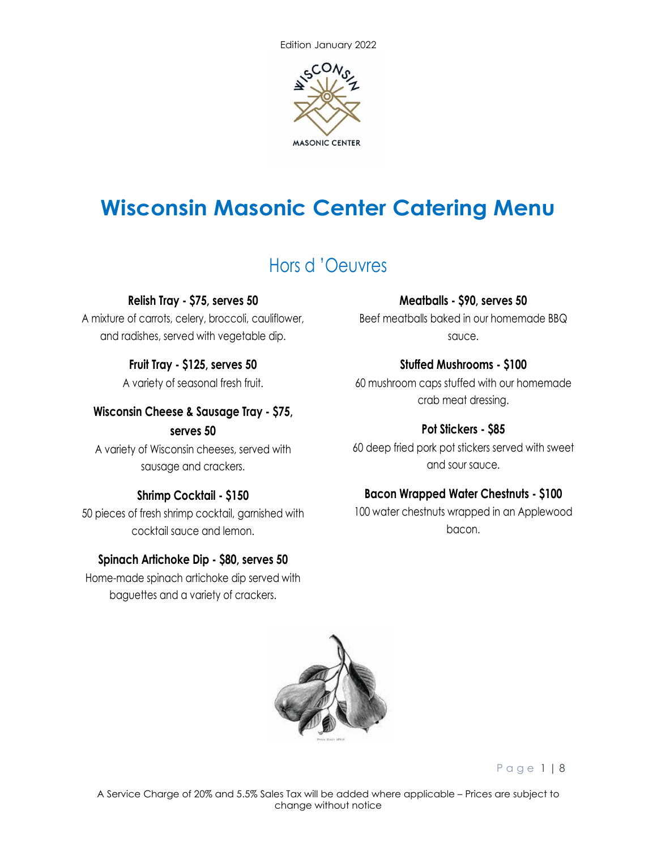

# **Wisconsin Masonic Center Catering Menu**

## Hors d 'Oeuvres

#### **Relish Tray - \$75, serves 50**

A mixture of carrots, celery, broccoli, cauliflower, and radishes, served with vegetable dip.

### **Fruit Tray - \$125, serves 50**

A variety of seasonal fresh fruit.

### **Wisconsin Cheese & Sausage Tray - \$75,**

#### **serves 50**

A variety of Wisconsin cheeses, served with sausage and crackers.

## **Shrimp Cocktail - \$150**

50 pieces of fresh shrimp cocktail, garnished with cocktail sauce and lemon.

#### **Spinach Artichoke Dip - \$80, serves 50**

Home-made spinach artichoke dip served with baguettes and a variety of crackers.

#### **Meatballs - \$90, serves 50**

Beef meatballs baked in our homemade BBQ sauce.

## **Stuffed Mushrooms - \$100**

60 mushroom caps stuffed with our homemade crab meat dressing.

## **Pot Stickers - \$85**

60 deep fried pork pot stickers served with sweet and sour sauce.

## **Bacon Wrapped Water Chestnuts - \$100**

100 water chestnuts wrapped in an Applewood bacon.



Page 1 | 8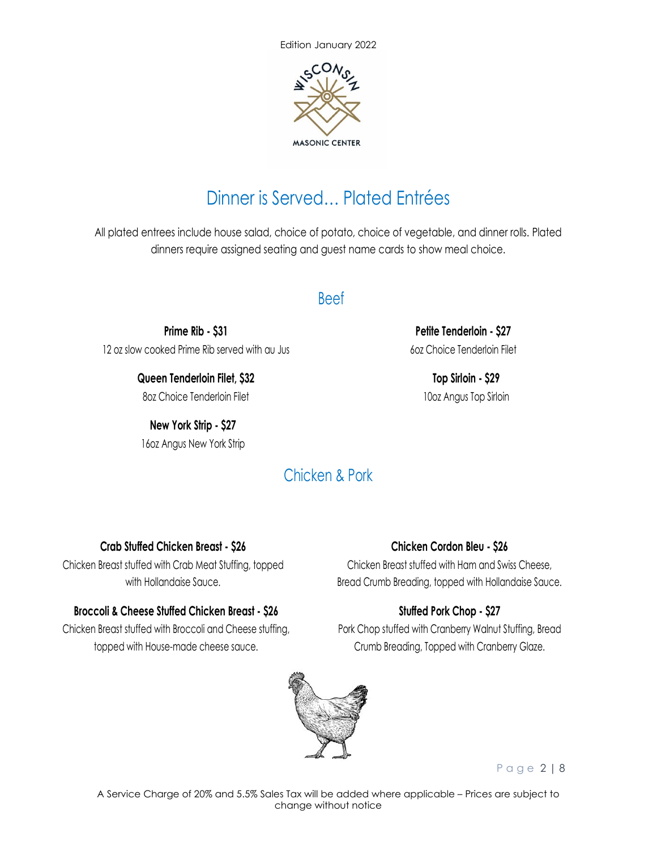

## Dinner is Served… Plated Entrées

All plated entrees include house salad, choice of potato, choice of vegetable, and dinner rolls. Plated dinners require assigned seating and guest name cards to show meal choice.

## Beef

**Prime Rib - \$31** 12 oz slow cooked Prime Rib served with au Jus

> **Queen Tenderloin Filet, \$32** 8oz Choice Tenderloin Filet

**New York Strip - \$27** 16oz Angus New York Strip

**Petite Tenderloin - \$27** 6oz Choice Tenderloin Filet

> **Top Sirloin - \$29** 10oz Angus Top Sirloin

## Chicken & Pork

## **Crab Stuffed Chicken Breast - \$26**

Chicken Breast stuffed with Crab Meat Stuffing, topped with Hollandaise Sauce.

## **Broccoli & Cheese Stuffed Chicken Breast - \$26**

Chicken Breast stuffed with Broccoli and Cheese stuffing, topped with House-made cheese sauce.

#### **Chicken Cordon Bleu - \$26**

Chicken Breast stuffed with Ham and Swiss Cheese, Bread Crumb Breading, topped with Hollandaise Sauce.

## **Stuffed Pork Chop - \$27**

Pork Chop stuffed with Cranberry Walnut Stuffing, Bread Crumb Breading, Topped with Cranberry Glaze.



Page 2 | 8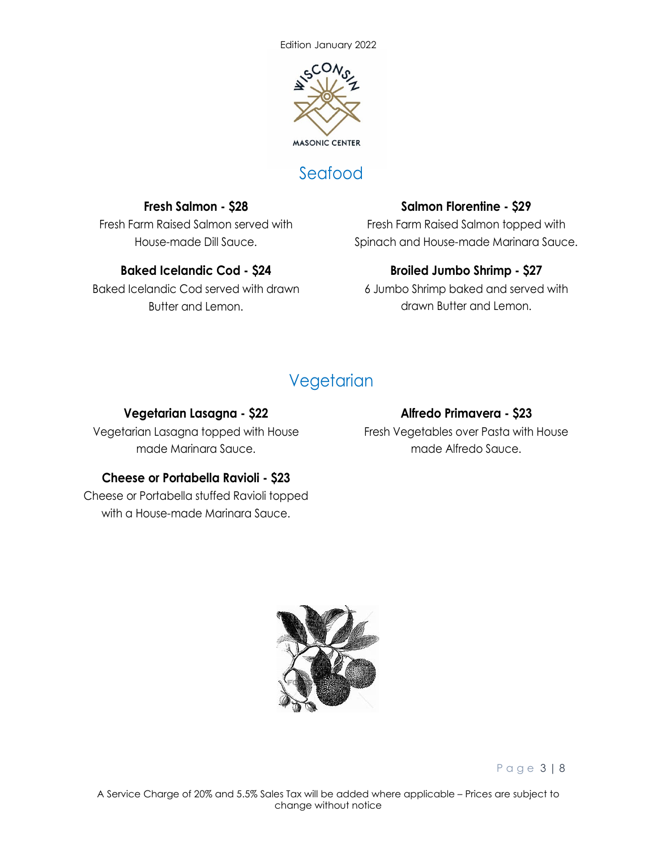

## Seafood

## **Fresh Salmon - \$28**

Fresh Farm Raised Salmon served with House-made Dill Sauce.

### **Baked Icelandic Cod - \$24**

Baked Icelandic Cod served with drawn Butter and Lemon.

## **Salmon Florentine - \$29**

Fresh Farm Raised Salmon topped with Spinach and House-made Marinara Sauce.

## **Broiled Jumbo Shrimp - \$27**

6 Jumbo Shrimp baked and served with drawn Butter and Lemon.

## **Vegetarian**

#### **Vegetarian Lasagna - \$22**

Vegetarian Lasagna topped with House made Marinara Sauce.

#### **Cheese or Portabella Ravioli - \$23**

Cheese or Portabella stuffed Ravioli topped with a House-made Marinara Sauce.

#### **Alfredo Primavera - \$23**

Fresh Vegetables over Pasta with House made Alfredo Sauce.



Page 3 | 8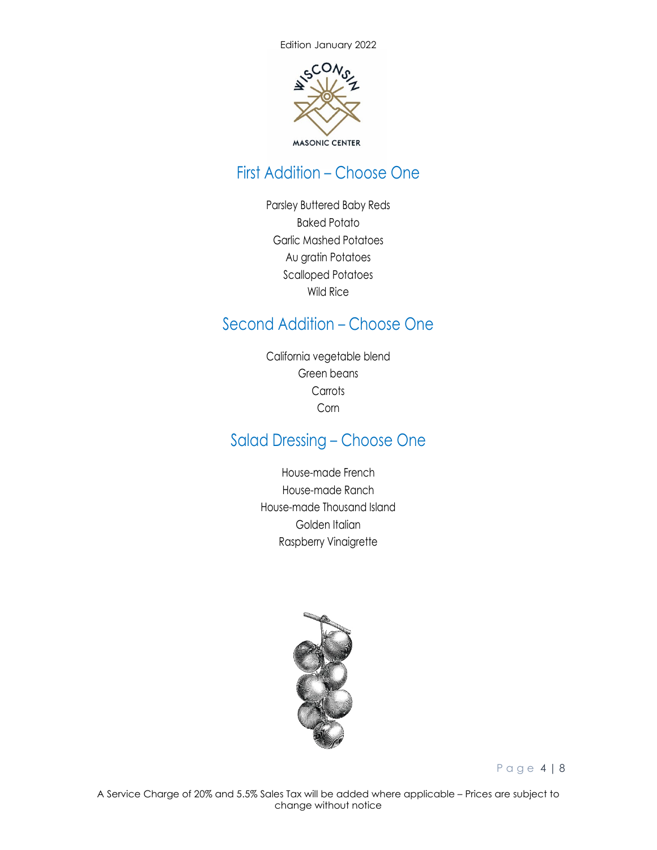

## First Addition – Choose One

Parsley Buttered Baby Reds Baked Potato Garlic Mashed Potatoes Au gratin Potatoes Scalloped Potatoes Wild Rice

## Second Addition – Choose One

California vegetable blend Green beans **Carrots** Corn

## Salad Dressing – Choose One

House-made French House-made Ranch House-made Thousand Island Golden Italian Raspberry Vinaigrette



Page 4 | 8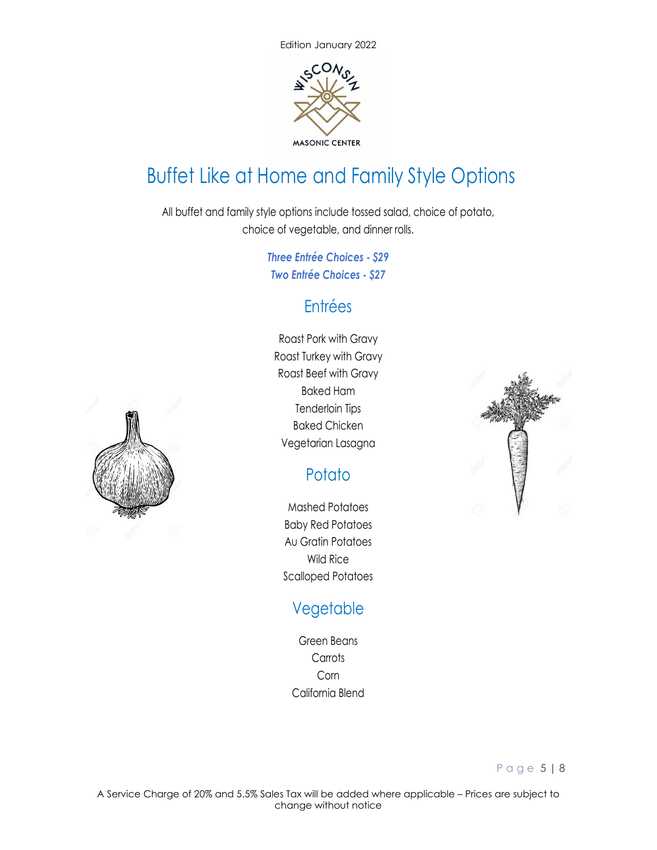

# Buffet Like at Home and Family Style Options

All buffet and family style options include tossed salad, choice of potato, choice of vegetable, and dinner rolls.

> *Three Entrée Choices - \$29 Two Entrée Choices - \$27*

## Entrées

Roast Pork with Gravy Roast Turkey with Gravy Roast Beef with Gravy Baked Ham Tenderloin Tips Baked Chicken Vegetarian Lasagna

## **Potato**

Mashed Potatoes Baby Red Potatoes Au Gratin Potatoes Wild Rice Scalloped Potatoes

## Vegetable

Green Beans **Carrots** Corn California Blend



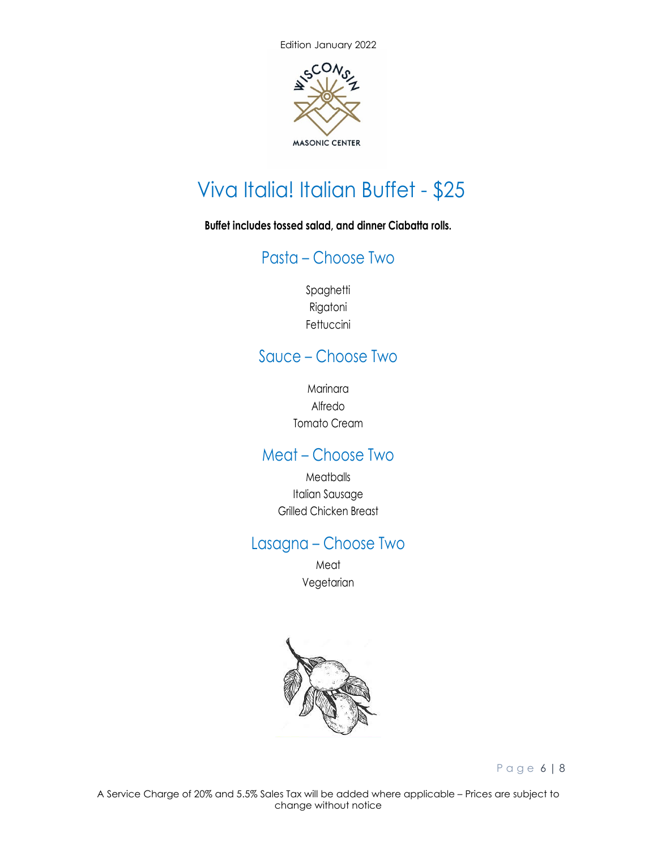

# Viva Italia! Italian Buffet - \$25

**Buffet includes tossed salad, and dinner Ciabatta rolls.** 

## Pasta – Choose Two

Spaghetti Rigatoni Fettuccini

## Sauce – Choose Two

Marinara Alfredo Tomato Cream

## Meat – Choose Two

**Meatballs** Italian Sausage Grilled Chicken Breast

## Lasagna – Choose Two

Meat Vegetarian



Page 6 | 8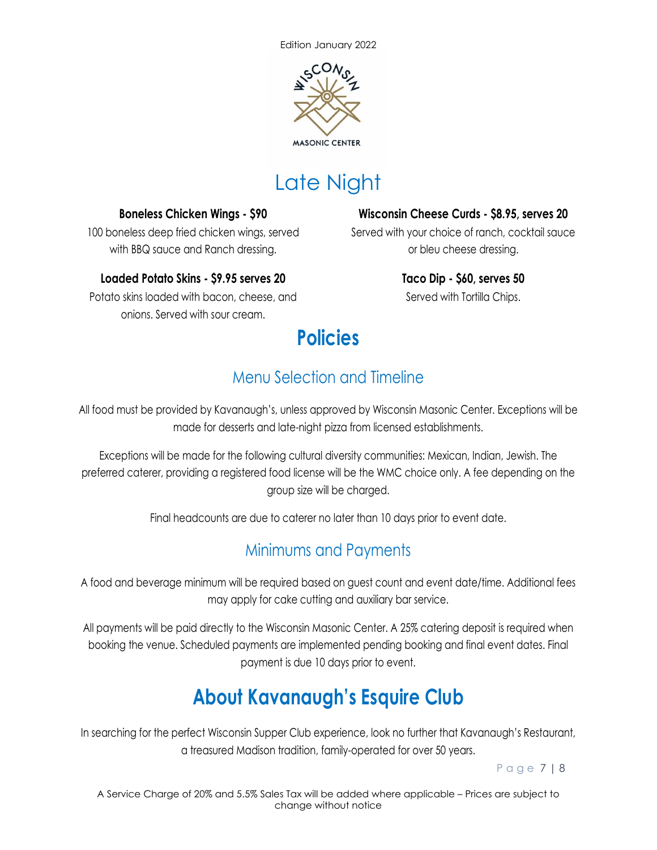

# Late Night

#### **Boneless Chicken Wings - \$90**

100 boneless deep fried chicken wings, served with BBQ sauce and Ranch dressing.

## **Loaded Potato Skins - \$9.95 serves 20**

Potato skins loaded with bacon, cheese, and onions. Served with sour cream.

**Wisconsin Cheese Curds - \$8.95, serves 20** Served with your choice of ranch, cocktail sauce

or bleu cheese dressing.

**Taco Dip - \$60, serves 50** Served with Tortilla Chips.

# **Policies**

## Menu Selection and Timeline

All food must be provided by Kavanaugh's, unless approved by Wisconsin Masonic Center. Exceptions will be made for desserts and late-night pizza from licensed establishments.

Exceptions will be made for the following cultural diversity communities: Mexican, Indian, Jewish. The preferred caterer, providing a registered food license will be the WMC choice only. A fee depending on the group size will be charged.

Final headcounts are due to caterer no later than 10 days prior to event date.

## Minimums and Payments

A food and beverage minimum will be required based on guest count and event date/time. Additional fees may apply for cake cutting and auxiliary bar service.

All payments will be paid directly to the Wisconsin Masonic Center. A 25% catering deposit is required when booking the venue. Scheduled payments are implemented pending booking and final event dates. Final payment is due 10 days prior to event.

# **About Kavanaugh's Esquire Club**

In searching for the perfect Wisconsin Supper Club experience, look no further that Kavanaugh's Restaurant, a treasured Madison tradition, family-operated for over 50 years.

Page 7 | 8

A Service Charge of 20% and 5.5% Sales Tax will be added where applicable – Prices are subject to change without notice